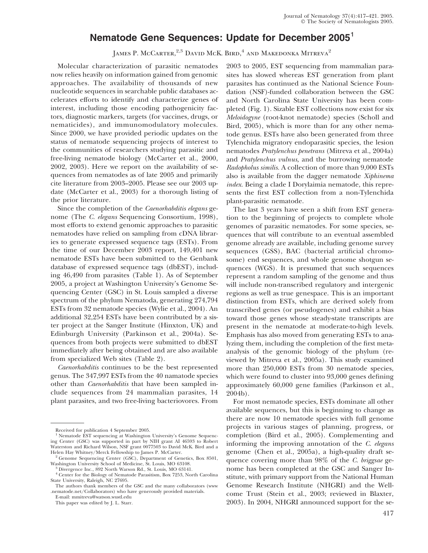## **Nematode Gene Sequences: Update for December 2005**<sup>1</sup>

James P. McCarter,<sup>2,3</sup> David McK. Bird,<sup>4</sup> and Makedonka Mitreva<sup>2</sup>

Molecular characterization of parasitic nematodes now relies heavily on information gained from genomic approaches. The availability of thousands of new nucleotide sequences in searchable public databases accelerates efforts to identify and characterize genes of interest, including those encoding pathogenicity factors, diagnostic markers, targets (for vaccines, drugs, or nematicides), and immunomodulatory molecules. Since 2000, we have provided periodic updates on the status of nematode sequencing projects of interest to the communities of researchers studying parasitic and free-living nematode biology (McCarter et al., 2000, 2002, 2003). Here we report on the availability of sequences from nematodes as of late 2005 and primarily cite literature from 2003–2005. Please see our 2003 update (McCarter et al., 2003) for a thorough listing of the prior literature.

Since the completion of the *Caenorhabditis elegans* genome (The *C. elegans* Sequencing Consortium, 1998), most efforts to extend genomic approaches to parasitic nematodes have relied on sampling from cDNA libraries to generate expressed sequence tags (ESTs). From the time of our December 2003 report, 149,401 new nematode ESTs have been submitted to the Genbank database of expressed sequence tags (dbEST), including 46,490 from parasites (Table 1). As of September 2005, a project at Washington University's Genome Sequencing Center (GSC) in St. Louis sampled a diverse spectrum of the phylum Nematoda, generating 274,794 ESTs from 32 nematode species (Wylie et al., 2004). An additional 32,254 ESTs have been contributed by a sister project at the Sanger Institute (Hinxton, UK) and Edinburgh University (Parkinson et al., 2004a). Sequences from both projects were submitted to dbEST immediately after being obtained and are also available from specialized Web sites (Table 2).

*Caenorhabditis* continues to be the best represented genus. The 347,997 ESTs from the 40 namatode species other than *Caenorhabditis* that have been sampled include sequences from 24 mammalian parasites, 14 plant parasites, and two free-living bacteriovores. From

E-mail: mmitreva@watson.wustl.edu

This paper was edited by J. L. Starr.

2003 to 2005, EST sequencing from mammalian parasites has slowed whereas EST generation from plant parasites has continued as the National Science Foundation (NSF)-funded collaboration between the GSC and North Carolina State University has been completed (Fig. 1). Sizable EST collections now exist for six *Meloidogyne* (root-knot nematode) species (Scholl and Bird, 2005), which is more than for any other nematode genus. ESTs have also been generated from three Tylenchida migratory endoparasitic species, the lesion nematodes *Pratylenchus penetrans* (Mitreva et al., 2004a) and *Pratylenchus vulnus,* and the burrowing nematode *Radopholus similis.* A collection of more than 9,000 ESTs also is available from the dagger nematode *Xiphinema index.* Being a clade I Dorylaimia nematode, this represents the first EST collection from a non-Tylenchida plant-parasitic nematode.

The last 3 years have seen a shift from EST generation to the beginning of projects to complete whole genomes of parasitic nematodes. For some species, sequences that will contribute to an eventual assembled genome already are available, including genome survey sequences (GSS), BAC (bacterial artificial chromosome) end sequences, and whole genome shotgun sequences (WGS). It is presumed that such sequences represent a random sampling of the genome and thus will include non-transcribed regulatory and intergenic regions as well as true genespace. This is an important distinction from ESTs, which are derived solely from transcribed genes (or pseudogenes) and exhibit a bias toward those genes whose steady-state transcripts are present in the nematode at moderate-to-high levels. Emphasis has also moved from generating ESTs to analyzing them, including the completion of the first metaanalysis of the genomic biology of the phylum (reviewed by Mitreva et al., 2005a). This study examined more than 250,000 ESTs from 30 nematode species, which were found to cluster into 93,000 genes defining approximately 60,000 gene families (Parkinson et al., 2004b).

For most nematode species, ESTs dominate all other available sequences, but this is beginning to change as there are now 10 nematode species with full genome projects in various stages of planning, progress, or completion (Bird et al., 2005). Complementing and informing the improving annotation of the *C. elegans* genome (Chen et al., 2005a), a high-quality draft sequence covering more than 98% of the *C. briggsae* genome has been completed at the GSC and Sanger Institute, with primary support from the National Human Genome Research Institute (NHGRI) and the Wellcome Trust (Stein et al., 2003; reviewed in Blaxter, 2003). In 2004, NHGRI announced support for the se-

Received for publication 4 September 2005.

<sup>&</sup>lt;sup>1</sup> Nematode EST sequencing at Washington University's Genome Sequencing Center (GSC) was supported in part by NIH grant AI 46593 to Robert Waterston and Richard Wilson, NSF grant 0077503 to David McK. Bird and a

<sup>&</sup>lt;sup>2</sup> Genome Sequencing Center (GSC), Department of Genetics, Box 8501, Washington University School of Medicine, St. Louis, MO 63108.

<sup>&</sup>lt;sup>3</sup> Divergence Inc., 892 North Warson Rd., St. Louis, MO 63141.

<sup>4</sup> Center for the Biology of Nematode Parasitism, Box 7253, North Carolina State University, Raleigh, NC 27695.

The authors thank members of the GSC and the many collaborators (www .nematode.net/Collaborators) who have generously provided materials.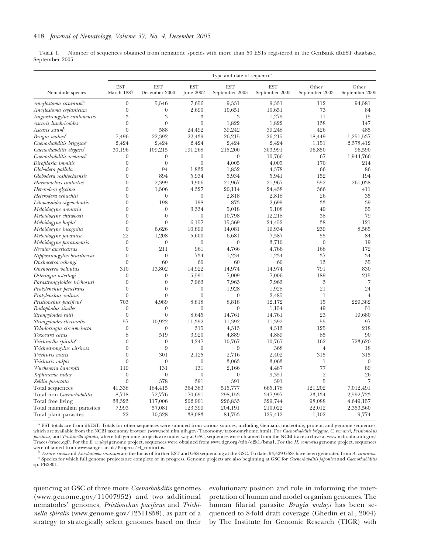TABLE 1. Number of sequences obtained from nematode species with more than 50 ESTs registered in the GenBank dbEST database, September 2005.

|                                     | Type and date of sequence <sup>a</sup> |                             |                           |                              |                              |                         |                         |
|-------------------------------------|----------------------------------------|-----------------------------|---------------------------|------------------------------|------------------------------|-------------------------|-------------------------|
| Nematode species                    | <b>EST</b><br>March 1887               | <b>EST</b><br>December 2000 | <b>EST</b><br>June $2002$ | <b>EST</b><br>September 2003 | <b>EST</b><br>September 2005 | Other<br>September 2003 | Other<br>September 2005 |
| Ancylostoma caninum <sup>b</sup>    | $\boldsymbol{0}$                       | 5,546                       | 7,656                     | 9,331                        | 9,331                        | 112                     | 94,581                  |
| Ancylostoma ceylanicum              | $\theta$                               | $\boldsymbol{0}$            | 2,690                     | 10,651                       | 10,651                       | 73                      | 84                      |
| Angiostrongylus cantonensis         | $\mathfrak{Z}$                         | $\mathfrak{Z}$              | 3                         | 3                            | 1,279                        | 11                      | 15                      |
| Ascaris lumbricoides                | $\overline{0}$                         | $\overline{0}$              | $\overline{0}$            | 1,822                        | 1,822                        | 138                     | 147                     |
| Ascaris suum <sup>b</sup>           | $\boldsymbol{0}$                       | 588                         | 24,492                    | 39,242                       | 39,248                       | 426                     | 485                     |
| Brugia malayi <sup>c</sup>          | 7,496                                  | 22,392                      | 22,439                    | 26,215                       | 26,215                       | 18,449                  | 1,251,537               |
| Caenorhabditis briggsae             | 2,424                                  | 2,424                       | 2,424                     | 2,424                        | 2,424                        | 1.151                   | 2,378,412               |
| Caenorhabditis elegans <sup>c</sup> | 30,196                                 | 109,215                     | 191,268                   | 215,200                      | 303,991                      | 96,850                  | 96,590                  |
| Caenorhabditis remanei <sup>c</sup> | $\boldsymbol{0}$                       | $\theta$                    | $\theta$                  | $\theta$                     | 10,766                       | 67                      | 1,944,766               |
| Dirofilaria immitis                 | $\theta$                               | $\overline{0}$              | $\overline{0}$            | 4,005                        | 4,005                        | 170                     | 214                     |
| Globodera pallida                   | $\boldsymbol{0}$                       | 94                          | 1,832                     | 1,832                        | 4,378                        | 66                      | 86                      |
| Globodera roshtochiensis            | $\theta$                               | 894                         | 5,934                     | 5,934                        | 5,941                        | 152                     | 194                     |
| Haemonchus contortus <sup>c</sup>   | $\theta$                               | 2,399                       | 4,906                     | 21,967                       | 21,967                       | 552                     | 261,038                 |
| Heterodera glycines                 | $\theta$                               | 1,506                       | 4,327                     | 20,114                       | 24,438                       | 366                     | 411                     |
| Heterodera schachtii                | $\theta$                               | $\theta$                    | $\boldsymbol{0}$          | 2,818                        | 2,818                        | 26                      | 35                      |
|                                     | $\theta$                               | 198                         | 198                       | 873                          | 2,699                        | 33                      | 39                      |
| Litomosoides sigmodontis            | $\theta$                               | $\theta$                    | 3,334                     | 5,018                        | 5,108                        | 49                      | 55                      |
| Meloidogyne arenaria                | $\theta$                               | $\overline{0}$              | $\overline{0}$            |                              |                              | 38                      | 79                      |
| Meloidogyne chitwoodi               |                                        |                             |                           | 10,798                       | 12,218                       |                         |                         |
| Meloidogyne hapla <sup>c</sup>      | $\theta$<br>$\overline{0}$             | $\theta$                    | 6,157                     | 15,369                       | 24,452                       | 38<br>239               | 121                     |
| Meloidogyne incognita               |                                        | 6,626                       | 10,899                    | 14,081                       | 19,934                       |                         | 8,585                   |
| Meloidogyne javanica                | 22                                     | 1,208                       | 5,600                     | 6,681                        | 7,587                        | 55                      | 84                      |
| Meloidogyne paranaensis             | $\boldsymbol{0}$                       | $\theta$                    | $\boldsymbol{0}$          | $\boldsymbol{0}$             | 3,710                        | $\theta$                | 19                      |
| Necator americanus                  | $\overline{0}$                         | 211                         | 961                       | 4,766                        | 4,766                        | 168                     | 172                     |
| Nippostrongylus brasiliensis        | $\theta$                               | $\overline{0}$              | 734                       | 1,234                        | 1,234                        | 37                      | 34                      |
| Onchocerca ochengi                  | $\boldsymbol{0}$                       | 60                          | 60                        | 60                           | 60                           | 13                      | 35                      |
| Onchocerca volvulus                 | 310                                    | 13,802                      | 14,922                    | 14,974                       | 14,974                       | 791                     | 830                     |
| Ostertagia ostertagi                | $\boldsymbol{0}$                       | $\theta$                    | 5,591                     | 7,009                        | 7,006                        | 189                     | 215                     |
| Parastrongyloides trichosuri        | $\boldsymbol{0}$                       | $\boldsymbol{0}$            | 7,963                     | 7,963                        | 7,963                        | 3                       | 7                       |
| Pratylenchus penetrans              | $\boldsymbol{0}$                       | $\theta$                    | $\boldsymbol{0}$          | 1,928                        | 1,928                        | 21                      | 24                      |
| Pratylenchus vulnus                 | $\theta$                               | $\overline{0}$              | $\theta$                  | $\theta$                     | 2,485                        | 1                       | $\overline{4}$          |
| Pristionchus pacificus <sup>c</sup> | 703                                    | 4,989                       | 8,818                     | 8,818                        | 12,172                       | 15                      | 229,382                 |
| Radopholus similes                  | $\boldsymbol{0}$                       | $\boldsymbol{0}$            | $\overline{0}$            | $\theta$                     | 1,154                        | 49                      | 51                      |
| Strongyloides ratti                 | $\theta$                               | $\theta$                    | 8,645                     | 14,761                       | 14,761                       | 23                      | 19,680                  |
| Strongyloides stercoralis           | 57                                     | 10,922                      | 11,392                    | 11,392                       | 11,392                       | 55                      | 97                      |
| Teladorsagia circumcincta           | $\boldsymbol{0}$                       | $\boldsymbol{0}$            | 315                       | 4,313                        | 4,313                        | 125                     | 218                     |
| Toxocara canis                      | 8                                      | 519                         | 3,920                     | 4,889                        | 4,889                        | 85                      | 90                      |
| Trichinella spiralis <sup>c</sup>   | $\theta$                               | $\theta$                    | 4,247                     | 10,767                       | 10,767                       | 162                     | 723,620                 |
| Trichostrongylus vitrinus           | $\theta$                               | 9                           | 9                         | 9                            | 368                          | $\overline{4}$          | 18                      |
| Trichuris muris                     | $\boldsymbol{0}$                       | 301                         | 2,125                     | 2,716                        | 2,402                        | 315                     | 315                     |
| Trichuris vulpis                    | $\theta$                               | $\overline{0}$              | $\overline{0}$            | 3,063                        | 3,063                        | 1                       | $\theta$                |
| Wuchereria bancrofti                | 119                                    | 131                         | 131                       | 2,166                        | 4,487                        | 77                      | 89                      |
| Xiphinema index                     | $\boldsymbol{0}$                       | $\theta$                    | $\boldsymbol{0}$          | $\boldsymbol{0}$             | 9,351                        | $\overline{2}$          | 26                      |
| Zeldia punctata                     | $\theta$                               | 378                         | 391                       | 391                          | 391                          | 5                       | 7                       |
| Total sequences                     | 41,338                                 | 184,415                     | 364,383                   | 515,777                      | 665,178                      | 121,202                 | 7,012,491               |
| Total non-Caenorhabditis            | 8,718                                  | 72,776                      | 170,691                   | 298,153                      | 347,997                      | 23,134                  | 2,592,723               |
| Total free living                   | 33,323                                 | 117,006                     | 202,901                   | 226,833                      | 329,744                      | 98,088                  | 4,649,157               |
| Total mammalian parasites           | 7,993                                  | 57,081                      | 123,399                   | 204,191                      | 210,022                      | 22,012                  | 2,353,560               |
| Total plant parasites               | 22                                     | 10,328                      | 38,083                    | 84,753                       | 125,412                      | 1,102                   | 9,774                   |

<sup>a</sup> EST totals are from dbEST. Totals for other sequences were summed from various sources, including Genbank nucleotide, protein, and genome sequences, which are available from the NCBI taxonomy browser (www.ncbi.nlm.nih.gov/Taxonomy/taxonomyhome.html). For *Caenorhabditis briggsae, C. remanei, Pristionchus pacificus,* and *Trichinella spiralis,* where full genome projects are under way at GSC, sequences were obtained from the NCBI trace archive at www.ncbi.nlm.nih.gov/ Traces/trace.cgi?. For the *B. malayi* genome project, sequences were obtained from www.tigr.org/tdb/e2k1/bma1. For the *H. contortus* genome project, sequences

<sup>b</sup> Ascaris suum and Ancylostoma caninum are the focus of further EST and GSS sequencing at the GSC. To date, 94,429 GSSs have been generated from A. caninum.<br><sup>c</sup> Species for which full genome projects are complete or in p sp. PB2801.

quencing at GSC of three more *Caenorhabditis* genomes (www.genome.gov/11007952) and two additional nematodes' genomes, *Pristionchus pacificus* and *Trichinella spiralis* (www.genome.gov/12511858), as part of a strategy to strategically select genomes based on their

evolutionary position and role in informing the interpretation of human and model organism genomes. The human filarial parasite *Brugia malayi* has been sequenced to 8-fold draft coverage (Ghedin et al., 2004) by The Institute for Genomic Research (TIGR) with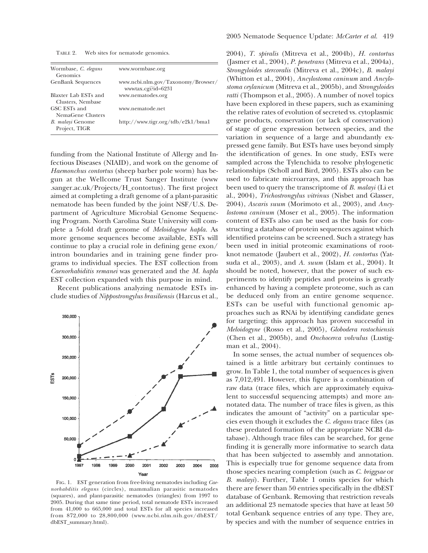TABLE 2. Web sites for nematode genomics.

| Wormbase, C. elegans<br>Genomics          | www.wormbase.org                                          |
|-------------------------------------------|-----------------------------------------------------------|
| <b>GenBank Sequences</b>                  | www.ncbi.nlm.gov/Taxonomy/Browser/<br>www.tax.cgi?id=6231 |
| Blaxter Lab ESTs and<br>Clusters, Nembase | www.nematodes.org                                         |
| GSC ESTs and<br>NemaGene Clusters         | www.nematode.net                                          |
| B. malayi Genome<br>Project, TIGR         | http://www.tigr.org/tdb/e2k1/bma1                         |

funding from the National Institute of Allergy and Infectious Diseases (NIAID), and work on the genome of *Haemonchus contortus* (sheep barber pole worm) has begun at the Wellcome Trust Sanger Institute (www .sanger.ac.uk/Projects/H\_contortus). The first project aimed at completing a draft genome of a plant-parasitic nematode has been funded by the joint NSF/U.S. Department of Agriculture Microbial Genome Sequencing Program. North Carolina State University will complete a 5-fold draft genome of *Meloidogyne hapla.* As more genome sequences become available, ESTs will continue to play a crucial role in defining gene exon/ intron boundaries and in training gene finder programs to individual species. The EST collection from *Caenorhabiditis remanei* was generated and the *M. hapla* EST collection expanded with this purpose in mind.

Recent publications analyzing nematode ESTs include studies of *Nippostrongylus brasiliensis* (Harcus et al.,



Fig. 1. EST generation from free-living nematodes including *Caenorhabditis elegans* (circles), mammalian parasitic nematodes (squares), and plant-parasitic nematodes (triangles) from 1997 to 2005. During that same time period, total nematode ESTs increased from 41,000 to 665,000 and total ESTs for all species increased from 872,000 to 28,800,000 (www.ncbi.nlm.nih.gov/dbEST/ dbEST\_summary.html).

2004), *T. spiralis* (Mitreva et al., 2004b), *H. contortus* (Jasmer et al., 2004), *P. penetrans* (Mitreva et al., 2004a), *Strongyloides stercoralis* (Mitreva et al., 2004c), *B. malayi* (Whitton et al., 2004), *Ancylostoma caninum* and *Ancylostoma ceylanicum* (Mitreva et al., 2005b), and *Strongyloides ratti* (Thompson et al., 2005). A number of novel topics have been explored in these papers, such as examining the relative rates of evolution of secreted vs. cytoplasmic gene products, conservation (or lack of conservation) of stage of gene expression between species, and the variation in sequence of a large and abundantly expressed gene family. But ESTs have uses beyond simply the identification of genes. In one study, ESTs were sampled across the Tylenchida to resolve phylogenetic relationships (Scholl and Bird, 2005). ESTs also can be used to fabricate microarrays, and this approach has been used to query the transcriptome of *B. malayi* (Li et al., 2004), *Trichostrongylus vitrinus* (Nisbet and Glasser, 2004), *Ascaris suum* (Morimoto et al., 2003), and *Ancylostoma caninum* (Moser et al., 2005). The information content of ESTs also can be used as the basis for constructing a database of protein sequences against which identified proteins can be screened. Such a strategy has been used in initial proteomic examinations of rootknot nematode (Jaubert et al., 2002), *H. contortus* (Yatsuda et al., 2003), and *A. suum* (Islam et al., 2004). It should be noted, however, that the power of such experiments to identify peptides and proteins is greatly enhanced by having a complete proteome, such as can be deduced only from an entire genome sequence. ESTs can be useful with functional genomic approaches such as RNAi by identifying candidate genes for targeting; this approach has proven successful in *Meloidogyne* (Rosso et al., 2005), *Globodera rostochiensis* (Chen et al., 2005b), and *Onchocerca volvulus* (Lustigman et al., 2004).

In some senses, the actual number of sequences obtained is a little arbitrary but certainly continues to grow. In Table 1, the total number of sequences is given as 7,012,491. However, this figure is a combination of raw data (trace files, which are approximately equivalent to successful sequencing attempts) and more annotated data. The number of trace files is given, as this indicates the amount of "activity" on a particular species even though it excludes the *C. elegans* trace files (as these predated formation of the appropriate NCBI database). Although trace files can be searched, for gene finding it is generally more informative to search data that has been subjected to assembly and annotation. This is especially true for genome sequence data from those species nearing completion (such as *C. briggsae* or *B. malayi*). Further, Table 1 omits species for which there are fewer than 50 entries specifically in the dbEST database of Genbank. Removing that restriction reveals an additional 23 nematode species that have at least 50 total Genbank sequence entries of any type. They are, by species and with the number of sequence entries in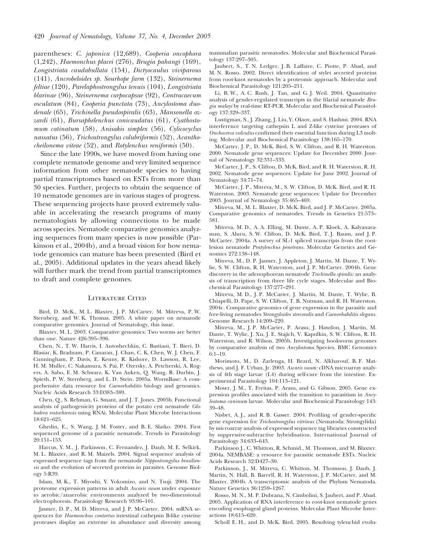parentheses: *C. japonica* (12,689), *Cooperia oncophora* (1,242), *Haemonchus placei* (276), *Brugia pahangi* (169), *Longistriata caudabullata* (154), *Dictyocaulus viviparous* (141), *Ancrobeloides sp. Sourhope farm* (132), *Steinernema feltiae* (120), *Parelaphostrongylus tenuis* (104), *Longistriata blarinae* (96), *Steinernema carpocapsae* (92), *Contracaecum osculatum* (84), *Cooperia punctata* (73), *Ancylostoma duodenale* (65), *Trichinella pseudospiralis* (63), *Mansonella ozzardi* (61), *Bursaphelenchus conicaudatus* (61), *Cyathostomum catinatum* (58), *Anisakis simplex* (56), *Cylicocyclus nassatus* (56), *Trichostrongylus colubriformis* (52), *Acanthocheilonema viteae* (52), and *Rotylenchus reniformis* (50).

Since the late 1990s, we have moved from having one complete nematode genome and very limited sequence information from other nematode species to having partial transcriptomes based on ESTs from more than 30 species. Further, projects to obtain the sequence of 10 nematode genomes are in various stages of progress. These sequencing projects have proved extremely valuable in accelerating the research programs of many nematologists by allowing connections to be made across species. Nematode comparative genomics analyzing sequences from many species is now possible (Parkinson et al., 2004b), and a broad vision for how nematode genomics can mature has been presented (Bird et al., 2005). Additional updates in the years ahead likely will further mark the trend from partial transcriptomes to draft and complete genomes.

## LITERATURE CITED

Bird, D. McK., M. L. Blaxter, J. P. McCarter, M. Mitreva, P. W. Sternberg, and W. K. Thomas. 2005. A white paper on nematode comparative genomics. Journal of Nematology, this issue.

Blaxter, M. L. 2003. Comparative genomics: Two worms are better than one. Nature 426:395–396.

Chen, N., T. W. Harris, I. Antoshechkin, C. Bastiani, T. Bieri, D. Blasiar, K. Bradnam, P. Canaran, J. Chan, C. K. Chen, W. J. Chen, F. Cunningham, P. Davis, E. Kenny, R. Kishore, D. Lawson, R. Lee, H. M. Muller, C. Nakamura, S. Pai, P. Ozersky, A. Petcherski, A. Rogers, A. Sabo, E. M. Schwarz, K. Van Auken, Q. Wang, R. Durbin, J. Spieth, P. W. Sternberg, and L. D. Stein. 2005a. WormBase: A comprehensive data resource for *Caenorhabditis* biology and genomics. Nucleic Acids Research 33:D383–389.

Chen, Q., S. Rehman, G. Smant, and J. T. Jones. 2005b. Functional analysis of pathogenicity proteins of the potato cyst nematode *Globodera rostochiensis* using RNAi. Molecular Plant Microbe Interactions 18:621–625.

Ghedin, E., S. Wang, J. M. Foster, and B. E. Slatko. 2004. First sequenced genome of a parasitic nematode. Trends in Parasitology 20:151–153.

Harcus, Y. M., J. Parkinson, C. Fernandez, J. Daub, M. E. Selkirk, M. L. Blaxter, and R. M. Maizels. 2004. Signal sequence analysis of expressed sequence tags from the nematode *Nippostrongylus brasiliensis* and the evolution of secreted proteins in parasites. Genome Biology 5:R39.

Islam, M. K., T. Miyoshi, Y. Yokomizo, and N. Tsuji. 2004. The proteome expression patterns in adult *Ascaris suum* under exposure to aerobic/anaerobic environments analyzed by two-dimensional electrophoresis. Parasitology Research 93:96–101.

Jasmer, D. P., M. D. Mitreva, and J. P. McCarter. 2004. mRNA sequences for *Haemonchus contortus* intestinal cathepsin B-like cysteine proteases display an extreme in abundance and diversity among mammalian parasitic nematodes. Molecular and Biochemical Parasitology 137:297–305.

Jaubert, S., T. N. Ledger, J. B. Laffaire, C. Piotte, P. Abad, and M. N. Rosso. 2002. Direct identification of stylet secreted proteins from root-knot nematodes by a proteomic approach. Molecular and Biochemical Parasitology 121:205–211.

Li, B. W., A. C. Rush, J. Tan, and G. J. Weil. 2004. Quantitative analysis of gender-regulated transcripts in the filarial nematode *Brugia malayi* by real-time RT-PCR. Molecular and Biochemical Parasitology 137:329–337.

Lustigman, S., J. Zhang, J. Liu, Y. Oksov, and S. Hashmi. 2004. RNA interference targeting cathepsin L and Z-like cysteine proteases of *Onchocerca volvulus* confirmed their essential function during L3 molting. Molecular and Biochemical Parasitology 138:165–170.

McCarter, J. P., D. McK. Bird, S. W. Clifton, and R. H. Waterston. 2000. Nematode gene sequences: Update for December 2000. Journal of Nematology 32:331–333.

McCarter, J. P., S. Clifton, D. McK. Bird, and R. H. Waterston, R. H. 2002. Nematode gene sequences: Update for June 2002. Journal of Nematology 34:71–74.

McCarter, J. P., Mitreva, M., S. W. Clifton, D. McK. Bird, and R. H. Waterston. 2003. Nematode gene sequences: Update for December 2003. Journal of Nematology 35:465–469.

Mitreva, M., M. L. Blaxter, D. McK. Bird, and J. P. McCarter. 2005a. Comparative genomics of nematodes. Trends in Genetics 21:573– 581.

Mitreva, M. D., A. A. Elling, M. Dante, A. P. Kloek, A. Kalyanaraman, S. Aluru, S. W. Clifton, D. McK. Bird, T. J. Baum, and J. P. McCarter. 2004a. A survey of SL-1 spliced transcripts from the rootlesion nematode *Pratylenchus penetrans.* Molecular Genetics and Genomics 272:138–148.

Mitreva, M., D. P. Jasmer, J. Appleton, J. Martin, M. Dante, T. Wylie, S. W. Clifton, R. H. Waterston, and J. P. McCarter. 2004b. Gene discovery in the adenophorean nematode *Trichinella spiralis:* an analysis of transcription from three life cycle stages. Molecular and Biochemical Parasitology 137:277–291.

Mitreva, M. D., J. P. McCarter, J. Martin, M. Dante, T. Wylie, B. Chiapelli, D. Pape, S. W. Clifton, T. B. Nutman, and R. H. Waterston. 2004c. Comparative genomics of gene expression in the parasitic and free-living nematodes *Strongyloides stercoralis* and *Caenorhabditis elegans.* Genome Research 14:209–220.

Mitreva, M., J. P. McCarter, P. Arasu, J. Hawdon, J. Martin, M. Dante, T. Wylie, J. Xu, J. E. Stajich, V. Kapulkin, S. W. Clifton, R. H. Waterston, and R. Wilson. 2005b. Investigating hookworm genomes by comparative analysis of two *Ancylostoma* Species. BMC Genomics 6:1–19.

Morimoto, M., D. Zarlenga, H. Beard, N. Alkharouf, B. F. Matthews, and J. F. Urban, Jr. 2003. *Ascaris suum:* cDNA microarray analysis of 4th stage larvae (L4) during self-cure from the intestine. Experimental Parasitology 104:113–121.

Moser, J. M., T. Freitas, P. Arasu, and G. Gibson. 2005. Gene expression profiles associated with the transition to parasitism in *Ancylostoma caninum* larvae. Molecular and Biochemical Parasitology 143: 39–48.

Nisbet, A. J., and R. B. Gasser. 2004. Profiling of gender-specific gene expression for *Trichostrongylus vitrinus* (Nematoda: Strongylida) by microarray analysis of expressed sequence tag libraries constructed by suppressive-subtractive hybridisation. International Journal of Parasitology 34:633–643.

Parkinson J., C. Whitton, R. Schmid., M. Thomson, and M. Blaxter. 2004a. NEMBASE: a resource for parasitic nematode ESTs. Nucleic Acids Research 32:D427–30.

Parkinson, J., M. Mitreva, C. Whitton, M. Thomson, J. Daub, J. Martin, N. Hall, B. Barrell, R. H. Waterston, J. P. McCarter, and M. Blaxter. 2004b. A transcriptomic analysis of the Phylum Nematoda. Nature Genetics 36:1259–1267.

Rosso, M. N., M. P. Dubrana, N. Cimbolini, S. Jaubert, and P. Abad. 2005. Application of RNA interference to root-knot nematode genes encoding esophageal gland proteins. Molecular Plant Microbe Interactions 18:615–620.

Scholl E. H., and D. McK. Bird. 2005. Resolving tylenchid evolu-